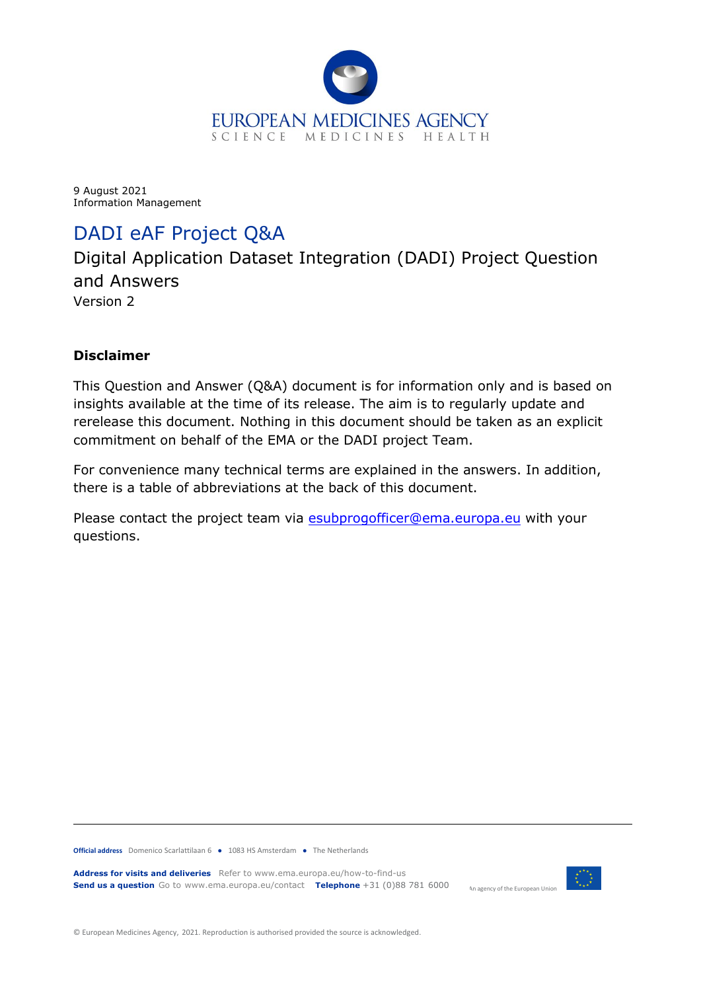

<span id="page-0-0"></span>9 August 2021 Information Management

# DADI eAF Project Q&A

Digital Application Dataset Integration (DADI) Project Question and Answers Version 2

#### **Disclaimer**

This Question and Answer (Q&A) document is for information only and is based on insights available at the time of its release. The aim is to regularly update and rerelease this document. Nothing in this document should be taken as an explicit commitment on behalf of the EMA or the DADI project Team.

For convenience many technical terms are explained in the answers. In addition, there is a table of abbreviations at the back of this document.

Please contact the project team via [esubprogofficer@ema.europa.eu](mailto:esubprogofficer@ema.europa.eu) with your questions.

**Official address** Domenico Scarlattilaan 6 **●** 1083 HS Amsterdam **●** The Netherlands

An agency of the European Union **Address for visits and deliveries** Refer to www.ema.europa.eu/how-to-find-us **Send us a question** Go to www.ema.europa.eu/contact **Telephone** +31 (0)88 781 6000



© European Medicines Agency, 2021. Reproduction is authorised provided the source is acknowledged.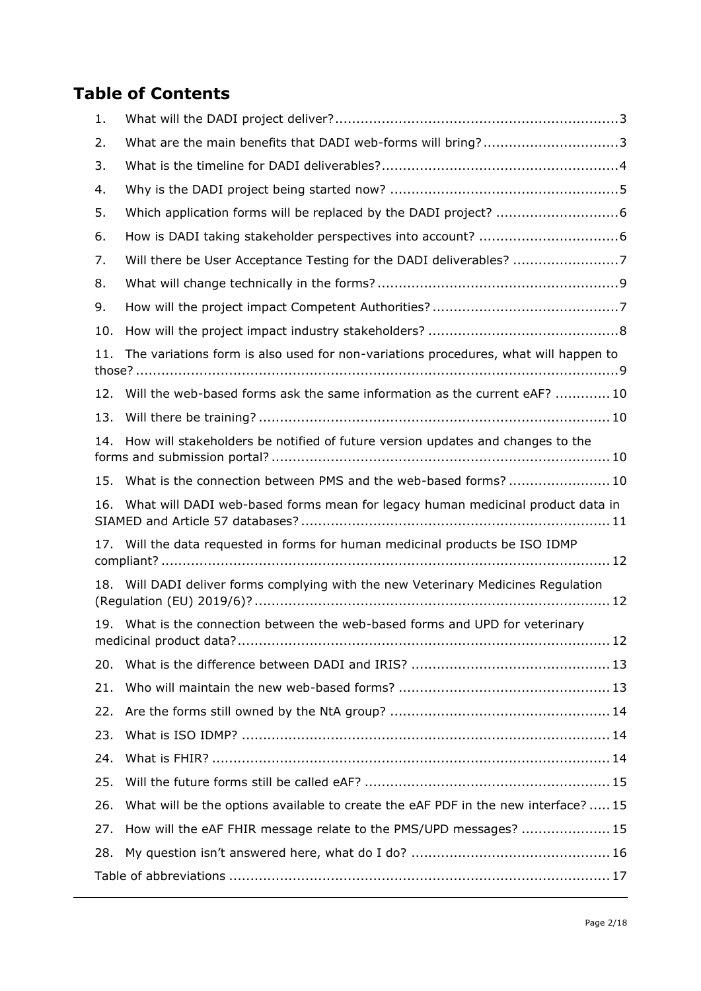# **Table of Contents**

| 1.  |                                                                                     |
|-----|-------------------------------------------------------------------------------------|
| 2.  | What are the main benefits that DADI web-forms will bring?3                         |
| 3.  |                                                                                     |
| 4.  |                                                                                     |
| 5.  |                                                                                     |
| 6.  |                                                                                     |
| 7.  | Will there be User Acceptance Testing for the DADI deliverables? 7                  |
| 8.  |                                                                                     |
| 9.  |                                                                                     |
| 10. |                                                                                     |
| 11. | The variations form is also used for non-variations procedures, what will happen to |
| 12. | Will the web-based forms ask the same information as the current eAF? 10            |
| 13. |                                                                                     |
| 14. | How will stakeholders be notified of future version updates and changes to the      |
| 15. | What is the connection between PMS and the web-based forms?10                       |
| 16. | What will DADI web-based forms mean for legacy human medicinal product data in      |
|     | 17. Will the data requested in forms for human medicinal products be ISO IDMP       |
|     | 18. Will DADI deliver forms complying with the new Veterinary Medicines Regulation  |
|     | 19. What is the connection between the web-based forms and UPD for veterinary       |
| 20. |                                                                                     |
| 21. |                                                                                     |
| 22. |                                                                                     |
| 23. |                                                                                     |
| 24. |                                                                                     |
| 25. |                                                                                     |
| 26. | What will be the options available to create the eAF PDF in the new interface?  15  |
| 27. | How will the eAF FHIR message relate to the PMS/UPD messages?  15                   |
| 28. |                                                                                     |
|     |                                                                                     |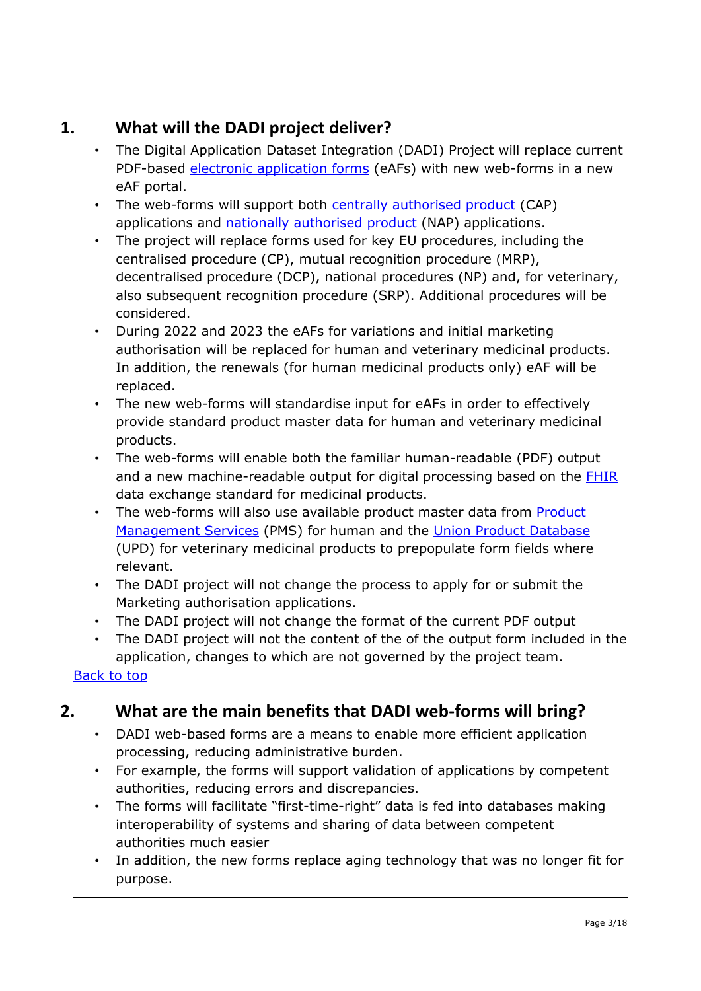## <span id="page-2-0"></span>**1. What will the DADI project deliver?**

- The Digital Application Dataset Integration (DADI) Project will replace current PDF-based **electronic application forms** (eAFs) with new web-forms in a new eAF portal.
- The web-forms will support both **centrally authorised product** (CAP) applications and [nationally authorised product](https://www.ema.europa.eu/en/glossary/nationally-authorised-product) (NAP) applications.
- The project will replace forms used for key EU procedures, including the centralised procedure (CP), mutual recognition procedure (MRP), decentralised procedure (DCP), national procedures (NP) and, for veterinary, also subsequent recognition procedure (SRP). Additional procedures will be considered.
- During 2022 and 2023 the eAFs for variations and initial marketing authorisation will be replaced for human and veterinary medicinal products. In addition, the renewals (for human medicinal products only) eAF will be replaced.
- The new web-forms will standardise input for eAFs in order to effectively provide standard product master data for human and veterinary medicinal products.
- The web-forms will enable both the familiar human-readable (PDF) output and a new machine-readable output for digital processing based on the **FHIR** data exchange standard for medicinal products.
- The web-forms will also use available product master data from [Product](https://www.ema.europa.eu/en/human-regulatory/research-development/data-medicines-iso-idmp-standards/spor-master-data/substance-product-data-management-services)  [Management Services](https://www.ema.europa.eu/en/human-regulatory/research-development/data-medicines-iso-idmp-standards/spor-master-data/substance-product-data-management-services) (PMS) for human and the [Union Product Database](https://www.ema.europa.eu/en/veterinary-regulatory/overview/veterinary-medicines-regulation/union-product-database) (UPD) for veterinary medicinal products to prepopulate form fields where relevant.
- The DADI project will not change the process to apply for or submit the Marketing authorisation applications.
- The DADI project will not change the format of the current PDF output
- The DADI project will not the content of the of the output form included in the application, changes to which are not governed by the project team.

#### [Back to top](#page-0-0)

## <span id="page-2-1"></span>**2. What are the main benefits that DADI web-forms will bring?**

- DADI web-based forms are a means to enable more efficient application processing, reducing administrative burden.
- For example, the forms will support validation of applications by competent authorities, reducing errors and discrepancies.
- The forms will facilitate "first-time-right" data is fed into databases making interoperability of systems and sharing of data between competent authorities much easier
- In addition, the new forms replace aging technology that was no longer fit for purpose.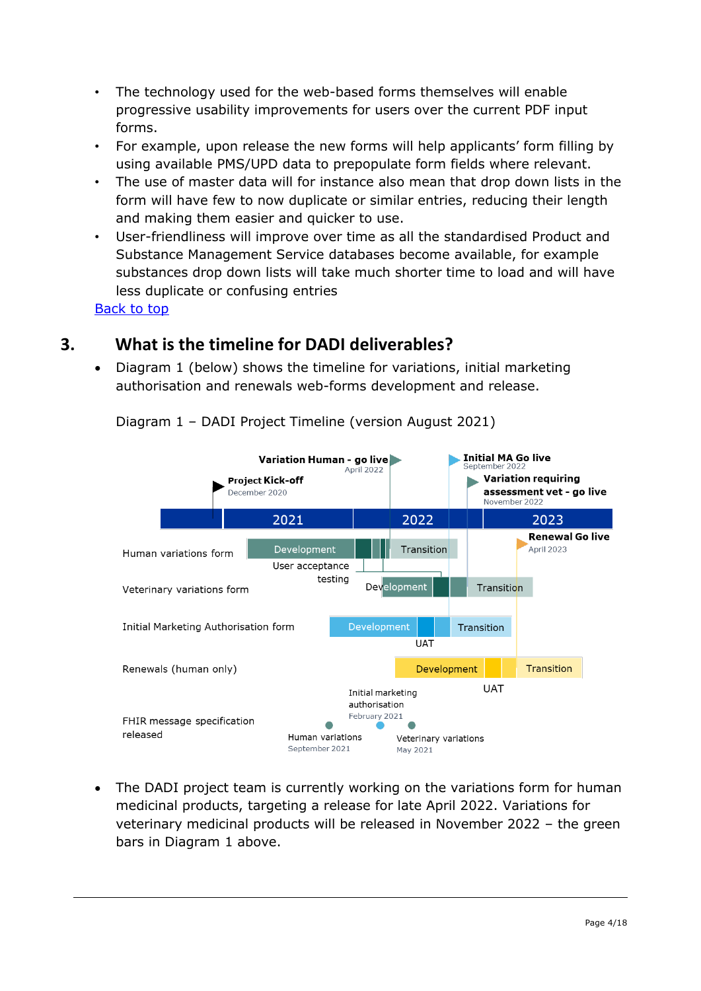- The technology used for the web-based forms themselves will enable progressive usability improvements for users over the current PDF input forms.
- For example, upon release the new forms will help applicants' form filling by using available PMS/UPD data to prepopulate form fields where relevant.
- The use of master data will for instance also mean that drop down lists in the form will have few to now duplicate or similar entries, reducing their length and making them easier and quicker to use.
- User-friendliness will improve over time as all the standardised Product and Substance Management Service databases become available, for example substances drop down lists will take much shorter time to load and will have less duplicate or confusing entries

## <span id="page-3-0"></span>**3. What is the timeline for DADI deliverables?**

• Diagram 1 (below) shows the timeline for variations, initial marketing authorisation and renewals web-forms development and release.



Diagram 1 – DADI Project Timeline (version August 2021)

• The DADI project team is currently working on the variations form for human medicinal products, targeting a release for late April 2022. Variations for veterinary medicinal products will be released in November 2022 – the green bars in Diagram 1 above.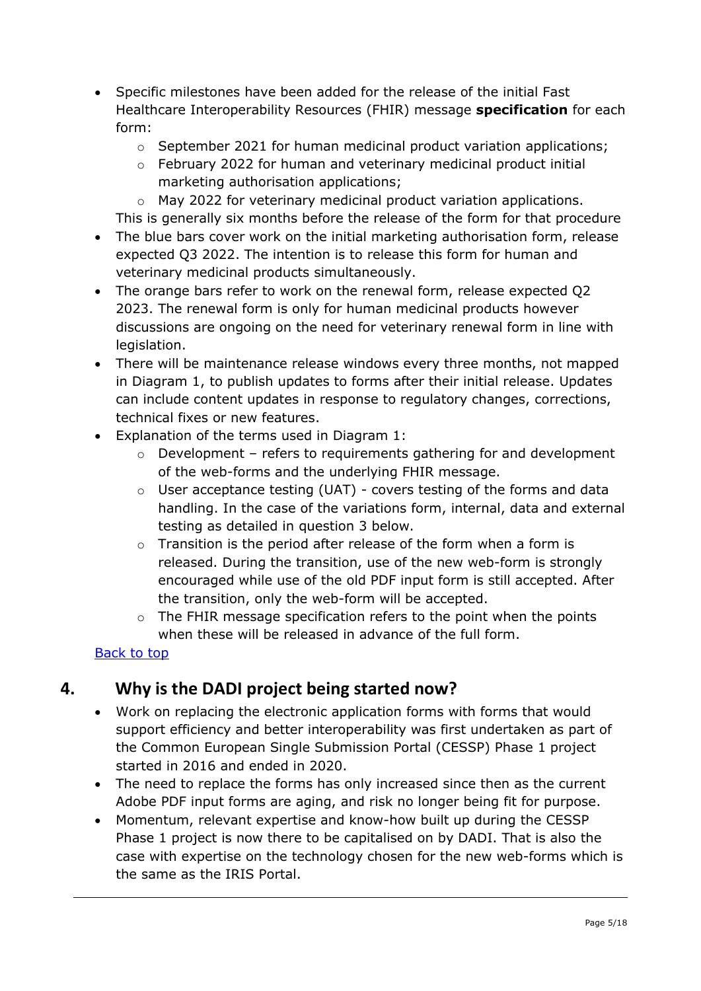- Specific milestones have been added for the release of the initial Fast Healthcare Interoperability Resources (FHIR) message **specification** for each form:
	- o September 2021 for human medicinal product variation applications;
	- $\circ$  February 2022 for human and veterinary medicinal product initial marketing authorisation applications;

o May 2022 for veterinary medicinal product variation applications. This is generally six months before the release of the form for that procedure

- The blue bars cover work on the initial marketing authorisation form, release expected Q3 2022. The intention is to release this form for human and veterinary medicinal products simultaneously.
- The orange bars refer to work on the renewal form, release expected Q2 2023. The renewal form is only for human medicinal products however discussions are ongoing on the need for veterinary renewal form in line with legislation.
- There will be maintenance release windows every three months, not mapped in Diagram 1, to publish updates to forms after their initial release. Updates can include content updates in response to regulatory changes, corrections, technical fixes or new features.
- Explanation of the terms used in Diagram 1:
	- o Development refers to requirements gathering for and development of the web-forms and the underlying FHIR message.
	- $\circ$  User acceptance testing (UAT) covers testing of the forms and data handling. In the case of the variations form, internal, data and external testing as detailed in question 3 below.
	- $\circ$  Transition is the period after release of the form when a form is released. During the transition, use of the new web-form is strongly encouraged while use of the old PDF input form is still accepted. After the transition, only the web-form will be accepted.
	- o The FHIR message specification refers to the point when the points when these will be released in advance of the full form.

#### [Back to top](#page-0-0)

## <span id="page-4-0"></span>**4. Why is the DADI project being started now?**

- Work on replacing the electronic application forms with forms that would support efficiency and better interoperability was first undertaken as part of the Common European Single Submission Portal (CESSP) Phase 1 project started in 2016 and ended in 2020.
- The need to replace the forms has only increased since then as the current Adobe PDF input forms are aging, and risk no longer being fit for purpose.
- Momentum, relevant expertise and know-how built up during the CESSP Phase 1 project is now there to be capitalised on by DADI. That is also the case with expertise on the technology chosen for the new web-forms which is the same as the IRIS Portal.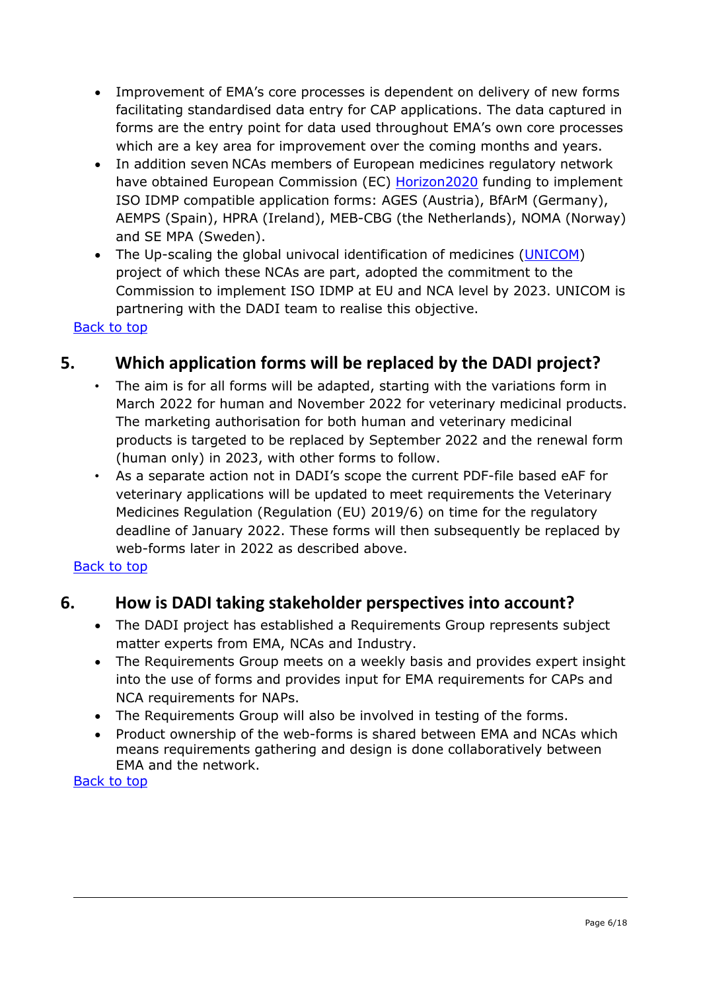- Improvement of EMA's core processes is dependent on delivery of new forms facilitating standardised data entry for CAP applications. The data captured in forms are the entry point for data used throughout EMA's own core processes which are a key area for improvement over the coming months and years.
- In addition seven NCAs members of European medicines regulatory network have obtained European Commission (EC) **Horizon2020** funding to implement ISO IDMP compatible application forms: AGES (Austria), BfArM (Germany), AEMPS (Spain), HPRA (Ireland), MEB-CBG (the Netherlands), NOMA (Norway) and SE MPA (Sweden).
- The Up-scaling the global univocal identification of medicines [\(UNICOM\)](https://unicom-project.eu/about/) project of which these NCAs are part, adopted the commitment to the Commission to implement ISO IDMP at EU and NCA level by 2023. UNICOM is partnering with the DADI team to realise this objective.

## <span id="page-5-0"></span>**5. Which application forms will be replaced by the DADI project?**

- The aim is for all forms will be adapted, starting with the variations form in March 2022 for human and November 2022 for veterinary medicinal products. The marketing authorisation for both human and veterinary medicinal products is targeted to be replaced by September 2022 and the renewal form (human only) in 2023, with other forms to follow.
- As a separate action not in DADI's scope the current PDF-file based eAF for veterinary applications will be updated to meet requirements the Veterinary Medicines Regulation (Regulation (EU) 2019/6) on time for the regulatory deadline of January 2022. These forms will then subsequently be replaced by web-forms later in 2022 as described above.

#### <span id="page-5-1"></span>[Back to top](#page-0-0)

#### **6. How is DADI taking stakeholder perspectives into account?**

- The DADI project has established a Requirements Group represents subject matter experts from EMA, NCAs and Industry.
- The Requirements Group meets on a weekly basis and provides expert insight into the use of forms and provides input for EMA requirements for CAPs and NCA requirements for NAPs.
- The Requirements Group will also be involved in testing of the forms.
- Product ownership of the web-forms is shared between EMA and NCAs which means requirements gathering and design is done collaboratively between EMA and the network.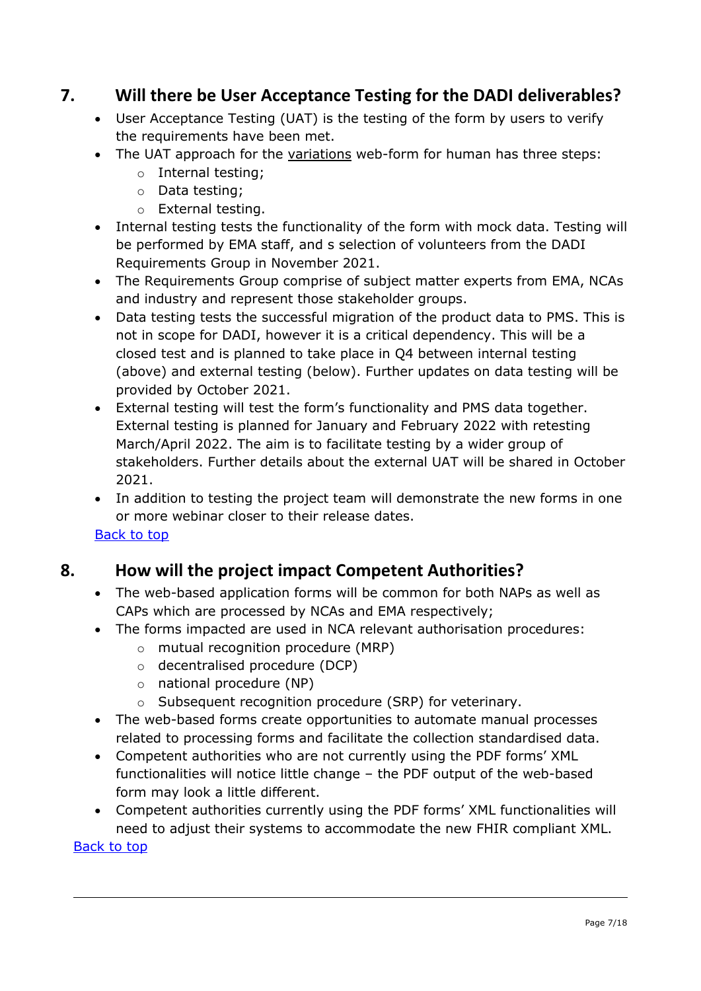## <span id="page-6-0"></span>**7. Will there be User Acceptance Testing for the DADI deliverables?**

- User Acceptance Testing (UAT) is the testing of the form by users to verify the requirements have been met.
- The UAT approach for the variations web-form for human has three steps:
	- o Internal testing;
	- o Data testing;
	- o External testing.
- Internal testing tests the functionality of the form with mock data. Testing will be performed by EMA staff, and s selection of volunteers from the DADI Requirements Group in November 2021.
- The Requirements Group comprise of subject matter experts from EMA, NCAs and industry and represent those stakeholder groups.
- Data testing tests the successful migration of the product data to PMS. This is not in scope for DADI, however it is a critical dependency. This will be a closed test and is planned to take place in Q4 between internal testing (above) and external testing (below). Further updates on data testing will be provided by October 2021.
- External testing will test the form's functionality and PMS data together. External testing is planned for January and February 2022 with retesting March/April 2022. The aim is to facilitate testing by a wider group of stakeholders. Further details about the external UAT will be shared in October 2021.
- In addition to testing the project team will demonstrate the new forms in one or more webinar closer to their release dates.

[Back to top](#page-0-0)

## <span id="page-6-1"></span>**8. How will the project impact Competent Authorities?**

- The web-based application forms will be common for both NAPs as well as CAPs which are processed by NCAs and EMA respectively;
- The forms impacted are used in NCA relevant authorisation procedures:
	- o mutual recognition procedure (MRP)
	- o decentralised procedure (DCP)
	- o national procedure (NP)
	- o Subsequent recognition procedure (SRP) for veterinary.
- The web-based forms create opportunities to automate manual processes related to processing forms and facilitate the collection standardised data.
- Competent authorities who are not currently using the PDF forms' XML functionalities will notice little change – the PDF output of the web-based form may look a little different.
- Competent authorities currently using the PDF forms' XML functionalities will need to adjust their systems to accommodate the new FHIR compliant XML.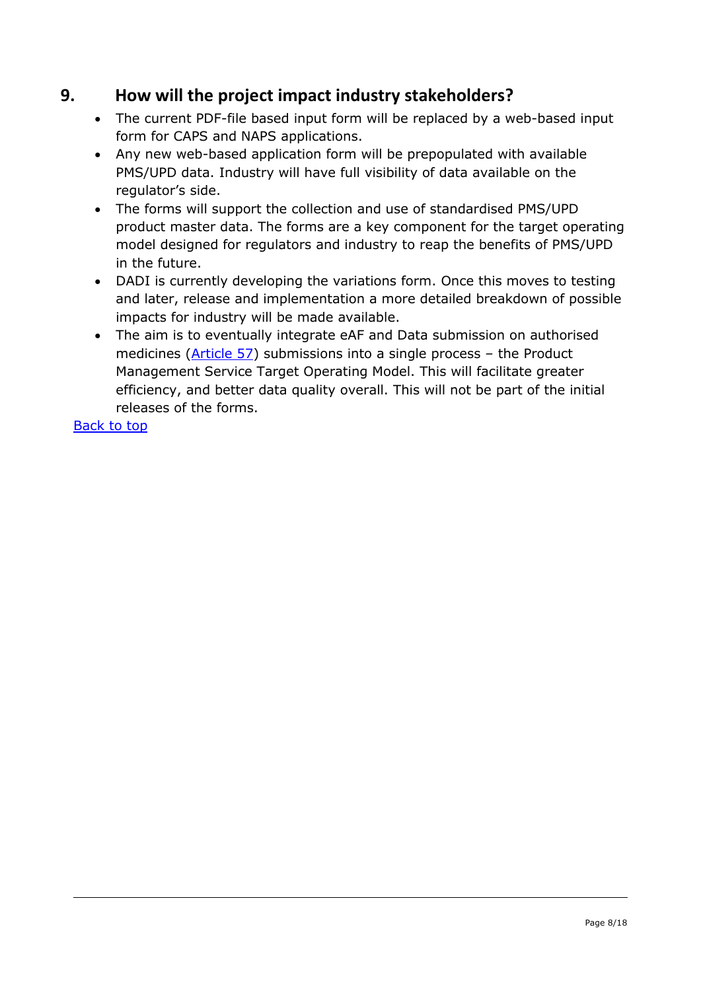## <span id="page-7-1"></span>**9. How will the project impact industry stakeholders?**

- The current PDF-file based input form will be replaced by a web-based input form for CAPS and NAPS applications.
- Any new web-based application form will be prepopulated with available PMS/UPD data. Industry will have full visibility of data available on the regulator's side.
- The forms will support the collection and use of standardised PMS/UPD product master data. The forms are a key component for the target operating model designed for regulators and industry to reap the benefits of PMS/UPD in the future.
- DADI is currently developing the variations form. Once this moves to testing and later, release and implementation a more detailed breakdown of possible impacts for industry will be made available.
- <span id="page-7-0"></span>• The aim is to eventually integrate eAF and Data submission on authorised medicines [\(Article 57\)](https://www.ema.europa.eu/en/human-regulatory/post-authorisation/data-medicines-iso-idmp-standards/data-submission-authorised-medicines-article-57) submissions into a single process – the Product Management Service Target Operating Model. This will facilitate greater efficiency, and better data quality overall. This will not be part of the initial releases of the forms.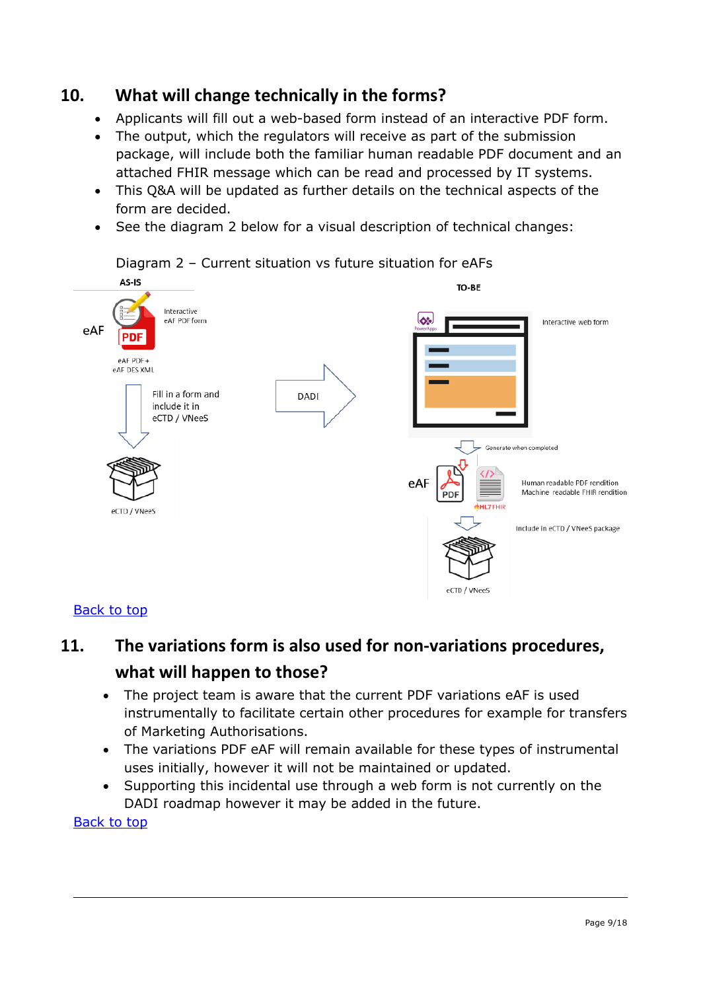## **10. What will change technically in the forms?**

- Applicants will fill out a web-based form instead of an interactive PDF form.
- The output, which the regulators will receive as part of the submission package, will include both the familiar human readable PDF document and an attached FHIR message which can be read and processed by IT systems.
- This Q&A will be updated as further details on the technical aspects of the form are decided.
- See the diagram 2 below for a visual description of technical changes:



#### <span id="page-8-0"></span>[Back to top](#page-0-0)

# **11. The variations form is also used for non-variations procedures, what will happen to those?**

- The project team is aware that the current PDF variations eAF is used instrumentally to facilitate certain other procedures for example for transfers of Marketing Authorisations.
- The variations PDF eAF will remain available for these types of instrumental uses initially, however it will not be maintained or updated.
- Supporting this incidental use through a web form is not currently on the DADI roadmap however it may be added in the future.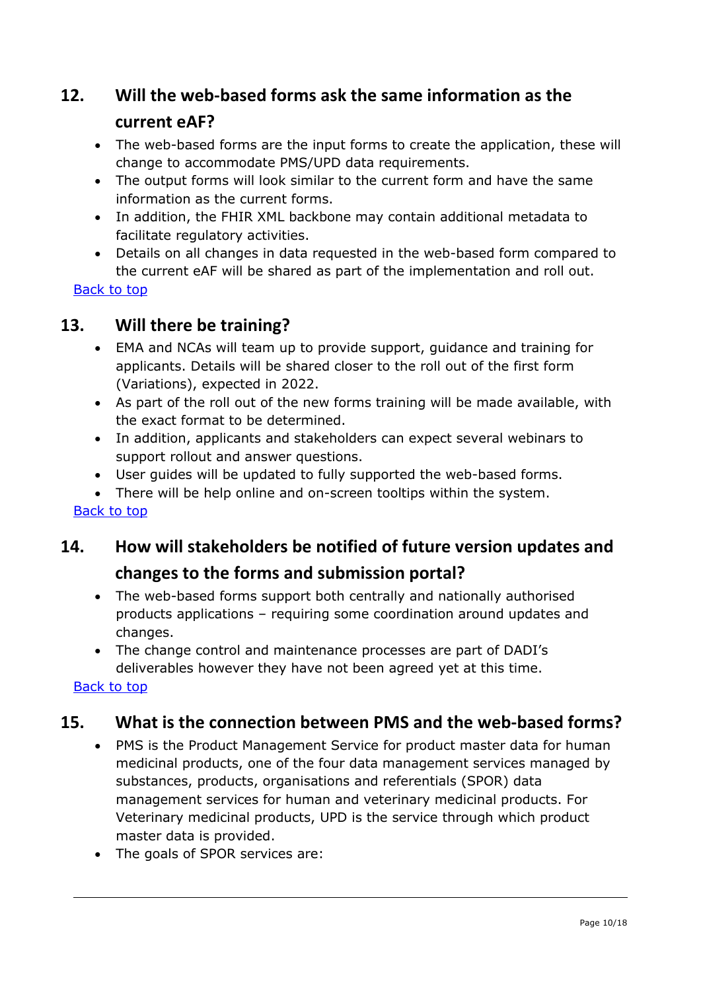## <span id="page-9-0"></span>**12. Will the web-based forms ask the same information as the**

#### **current eAF?**

- The web-based forms are the input forms to create the application, these will change to accommodate PMS/UPD data requirements.
- The output forms will look similar to the current form and have the same information as the current forms.
- In addition, the FHIR XML backbone may contain additional metadata to facilitate regulatory activities.
- Details on all changes in data requested in the web-based form compared to the current eAF will be shared as part of the implementation and roll out.

[Back to top](#page-0-0)

#### <span id="page-9-1"></span>**13. Will there be training?**

- EMA and NCAs will team up to provide support, guidance and training for applicants. Details will be shared closer to the roll out of the first form (Variations), expected in 2022.
- As part of the roll out of the new forms training will be made available, with the exact format to be determined.
- In addition, applicants and stakeholders can expect several webinars to support rollout and answer questions.
- User guides will be updated to fully supported the web-based forms.
- There will be help online and on-screen tooltips within the system.

<span id="page-9-2"></span>[Back to top](#page-0-0)

# **14. How will stakeholders be notified of future version updates and changes to the forms and submission portal?**

- The web-based forms support both centrally and nationally authorised products applications – requiring some coordination around updates and changes.
- The change control and maintenance processes are part of DADI's deliverables however they have not been agreed yet at this time.

[Back to top](#page-0-0)

## <span id="page-9-3"></span>**15. What is the connection between PMS and the web-based forms?**

- PMS is the Product Management Service for product master data for human medicinal products, one of the four data management services managed by substances, products, organisations and referentials (SPOR) data management services for human and veterinary medicinal products. For Veterinary medicinal products, UPD is the service through which product master data is provided.
- The goals of SPOR services are: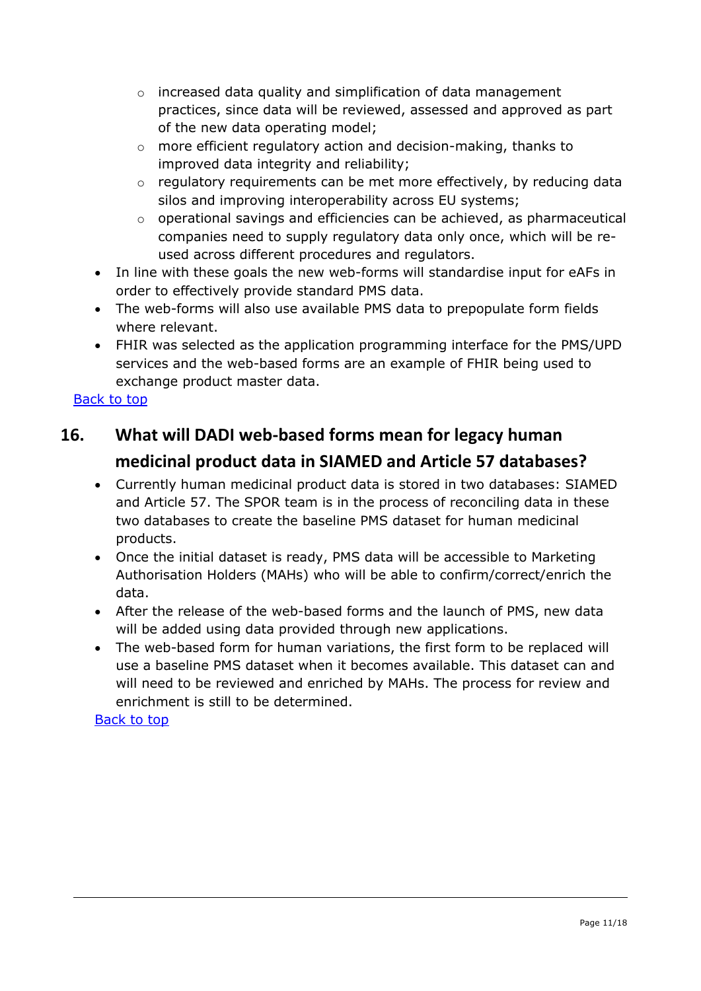- o increased data quality and simplification of data management practices, since data will be reviewed, assessed and approved as part of the new data operating model;
- o more efficient regulatory action and decision-making, thanks to improved data integrity and reliability;
- $\circ$  regulatory requirements can be met more effectively, by reducing data silos and improving interoperability across EU systems;
- $\circ$  operational savings and efficiencies can be achieved, as pharmaceutical companies need to supply regulatory data only once, which will be reused across different procedures and regulators.
- In line with these goals the new web-forms will standardise input for eAFs in order to effectively provide standard PMS data.
- The web-forms will also use available PMS data to prepopulate form fields where relevant.
- FHIR was selected as the application programming interface for the PMS/UPD services and the web-based forms are an example of FHIR being used to exchange product master data.

## <span id="page-10-0"></span>**16. What will DADI web-based forms mean for legacy human medicinal product data in SIAMED and Article 57 databases?**

- Currently human medicinal product data is stored in two databases: SIAMED and Article 57. The SPOR team is in the process of reconciling data in these two databases to create the baseline PMS dataset for human medicinal products.
- Once the initial dataset is ready, PMS data will be accessible to Marketing Authorisation Holders (MAHs) who will be able to confirm/correct/enrich the data.
- After the release of the web-based forms and the launch of PMS, new data will be added using data provided through new applications.
- <span id="page-10-1"></span>• The web-based form for human variations, the first form to be replaced will use a baseline PMS dataset when it becomes available. This dataset can and will need to be reviewed and enriched by MAHs. The process for review and enrichment is still to be determined.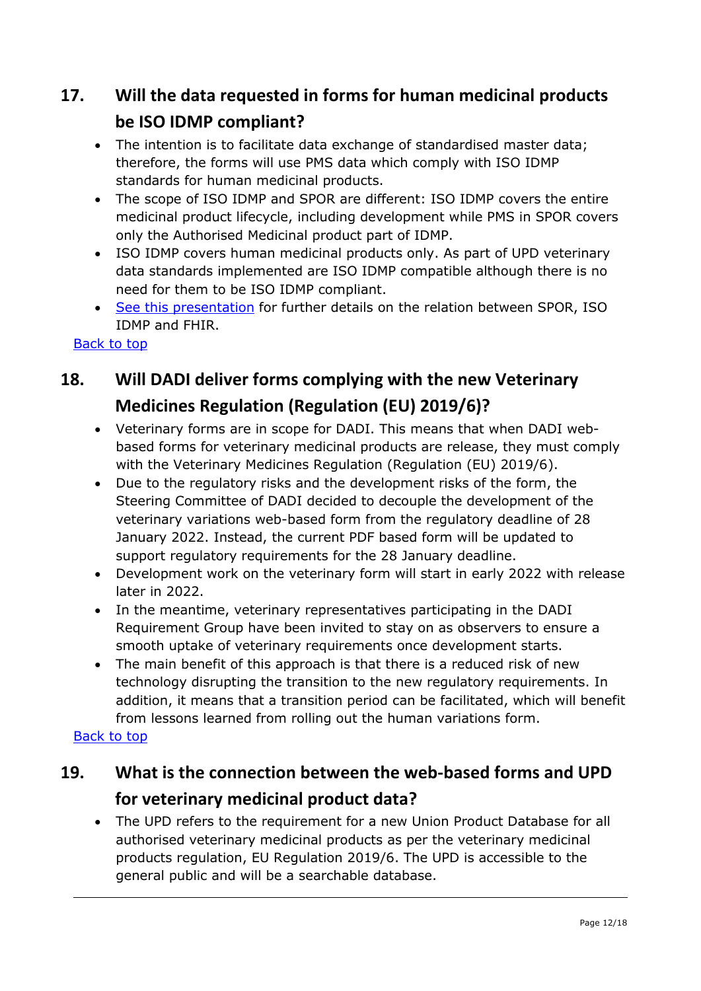# **17. Will the data requested in forms for human medicinal products be ISO IDMP compliant?**

- The intention is to facilitate data exchange of standardised master data; therefore, the forms will use PMS data which comply with ISO IDMP standards for human medicinal products.
- The scope of ISO IDMP and SPOR are different: ISO IDMP covers the entire medicinal product lifecycle, including development while PMS in SPOR covers only the Authorised Medicinal product part of IDMP.
- ISO IDMP covers human medicinal products only. As part of UPD veterinary data standards implemented are ISO IDMP compatible although there is no need for them to be ISO IDMP compliant.
- [See this presentation](https://www.ema.europa.eu/en/documents/presentation/presentation-pms/iso/idmp/fhir_en.pdf) for further details on the relation between SPOR, ISO IDMP and FHIR.

#### <span id="page-11-0"></span>[Back to top](#page-0-0)

# **18. Will DADI deliver forms complying with the new Veterinary Medicines Regulation (Regulation (EU) 2019/6)?**

- Veterinary forms are in scope for DADI. This means that when DADI webbased forms for veterinary medicinal products are release, they must comply with the Veterinary Medicines Regulation (Regulation (EU) 2019/6).
- Due to the regulatory risks and the development risks of the form, the Steering Committee of DADI decided to decouple the development of the veterinary variations web-based form from the regulatory deadline of 28 January 2022. Instead, the current PDF based form will be updated to support regulatory requirements for the 28 January deadline.
- Development work on the veterinary form will start in early 2022 with release later in 2022.
- In the meantime, veterinary representatives participating in the DADI Requirement Group have been invited to stay on as observers to ensure a smooth uptake of veterinary requirements once development starts.
- The main benefit of this approach is that there is a reduced risk of new technology disrupting the transition to the new regulatory requirements. In addition, it means that a transition period can be facilitated, which will benefit from lessons learned from rolling out the human variations form.

#### [Back to top](#page-0-0)

# <span id="page-11-1"></span>**19. What is the connection between the web-based forms and UPD for veterinary medicinal product data?**

• The UPD refers to the requirement for a new Union Product Database for all authorised veterinary medicinal products as per the veterinary medicinal products regulation, EU Regulation 2019/6. The UPD is accessible to the general public and will be a searchable database.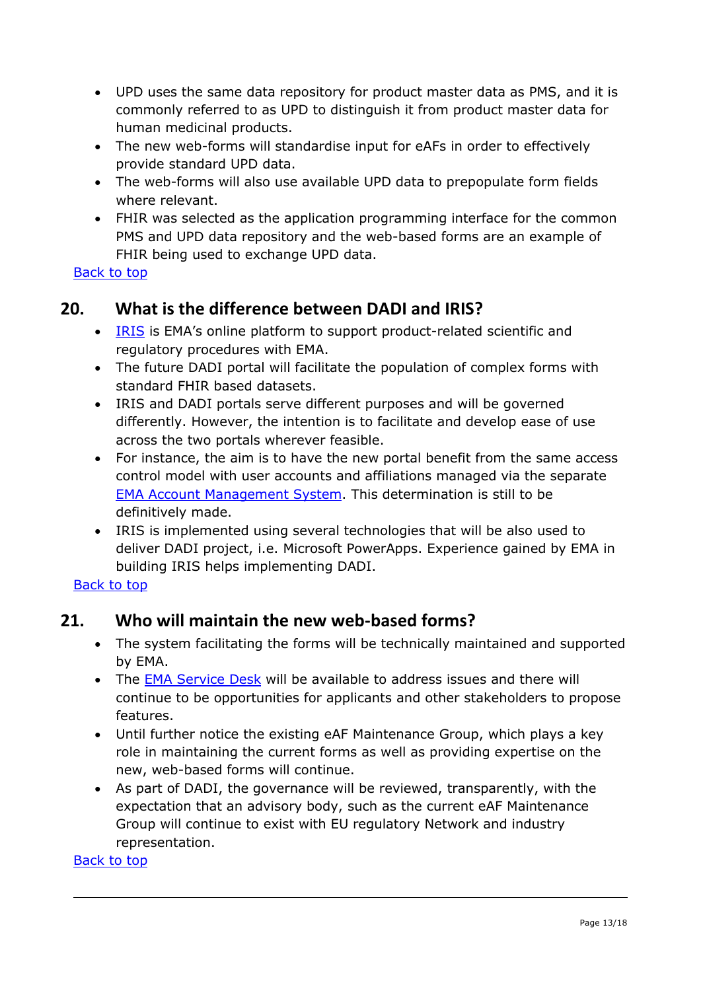- UPD uses the same data repository for product master data as PMS, and it is commonly referred to as UPD to distinguish it from product master data for human medicinal products.
- The new web-forms will standardise input for eAFs in order to effectively provide standard UPD data.
- The web-forms will also use available UPD data to prepopulate form fields where relevant.
- FHIR was selected as the application programming interface for the common PMS and UPD data repository and the web-based forms are an example of FHIR being used to exchange UPD data.

#### <span id="page-12-0"></span>**20. What is the difference between DADI and IRIS?**

- [IRIS](https://iris.ema.europa.eu/) is EMA's online platform to support product-related scientific and regulatory procedures with EMA.
- The future DADI portal will facilitate the population of complex forms with standard FHIR based datasets.
- IRIS and DADI portals serve different purposes and will be governed differently. However, the intention is to facilitate and develop ease of use across the two portals wherever feasible.
- For instance, the aim is to have the new portal benefit from the same access control model with user accounts and affiliations managed via the separate [EMA Account Management System.](https://register.ema.europa.eu/) This determination is still to be definitively made.
- IRIS is implemented using several technologies that will be also used to deliver DADI project, i.e. Microsoft PowerApps. Experience gained by EMA in building IRIS helps implementing DADI.

<span id="page-12-1"></span>[Back to top](#page-0-0)

#### **21. Who will maintain the new web-based forms?**

- The system facilitating the forms will be technically maintained and supported by EMA.
- The [EMA Service Desk](https://servicedesk.ema.europa.eu/jira/servicedesk/customer/portals) will be available to address issues and there will continue to be opportunities for applicants and other stakeholders to propose features.
- Until further notice the existing eAF Maintenance Group, which plays a key role in maintaining the current forms as well as providing expertise on the new, web-based forms will continue.
- <span id="page-12-2"></span>• As part of DADI, the governance will be reviewed, transparently, with the expectation that an advisory body, such as the current eAF Maintenance Group will continue to exist with EU regulatory Network and industry representation.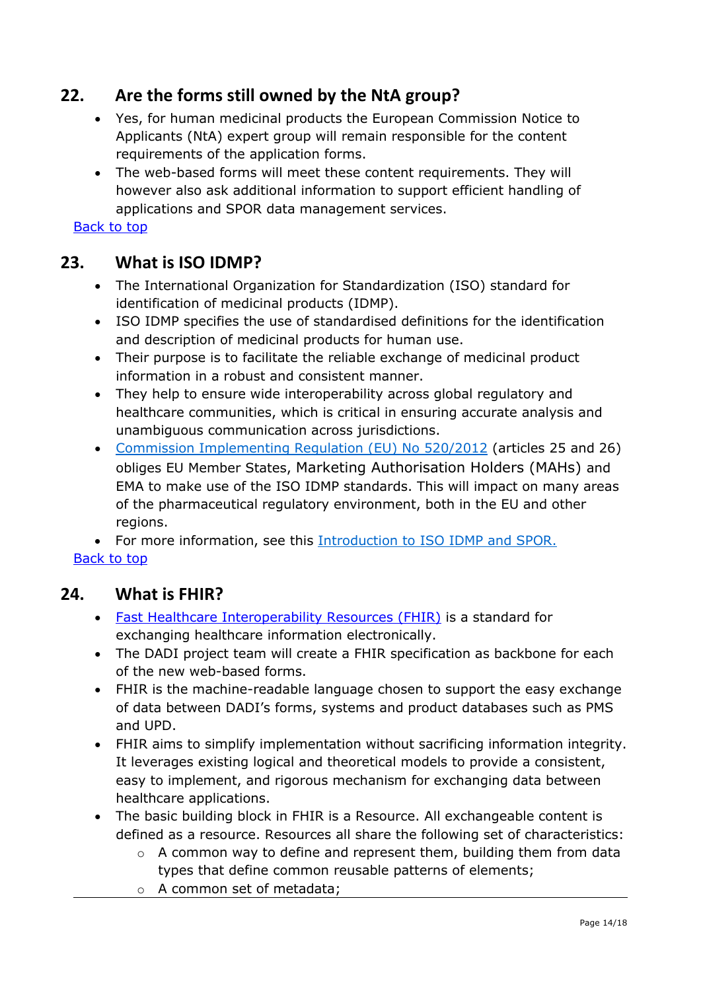## **22. Are the forms still owned by the NtA group?**

- Yes, for human medicinal products the European Commission Notice to Applicants (NtA) expert group will remain responsible for the content requirements of the application forms.
- The web-based forms will meet these content requirements. They will however also ask additional information to support efficient handling of applications and SPOR data management services.

[Back to top](#page-0-0)

## <span id="page-13-0"></span>**23. What is ISO IDMP?**

- The International Organization for Standardization (ISO) standard for identification of medicinal products (IDMP).
- ISO IDMP specifies the use of standardised definitions for the identification and description of medicinal products for human use.
- Their purpose is to facilitate the reliable exchange of medicinal product information in a robust and consistent manner.
- They help to ensure wide interoperability across global regulatory and healthcare communities, which is critical in ensuring accurate analysis and unambiguous communication across jurisdictions.
- [Commission Implementing Regulation \(EU\) No 520/2012](http://eur-lex.europa.eu/LexUriServ/LexUriServ.do?uri=OJ:L:2012:159:0005:0025:EN:PDF) (articles 25 and 26) obliges EU Member States, Marketing Authorisation Holders (MAHs) and EMA to make use of the ISO IDMP standards. This will impact on many areas of the pharmaceutical regulatory environment, both in the EU and other regions.

• For more information, see this [Introduction to ISO IDMP](https://www.ema.europa.eu/documents/other/introduction-iso-identification-medicinal-products-spor-programme_en.pdf) and SPOR. [Back to top](#page-0-0)

#### <span id="page-13-1"></span>**24. What is FHIR?**

- [Fast Healthcare Interoperability Resources \(FHIR\)](https://www.hl7.org/fhir/overview.html) is a standard for exchanging healthcare information electronically.
- The DADI project team will create a FHIR specification as backbone for each of the new web-based forms.
- FHIR is the machine-readable language chosen to support the easy exchange of data between DADI's forms, systems and product databases such as PMS and UPD.
- FHIR aims to simplify implementation without sacrificing information integrity. It leverages existing logical and theoretical models to provide a consistent, easy to implement, and rigorous mechanism for exchanging data between healthcare applications.
- The basic building block in FHIR is a Resource. All exchangeable content is defined as a resource. Resources all share the following set of characteristics:
	- $\circ$  A common way to define and represent them, building them from data types that define common reusable patterns of elements;
	- o A common set of metadata;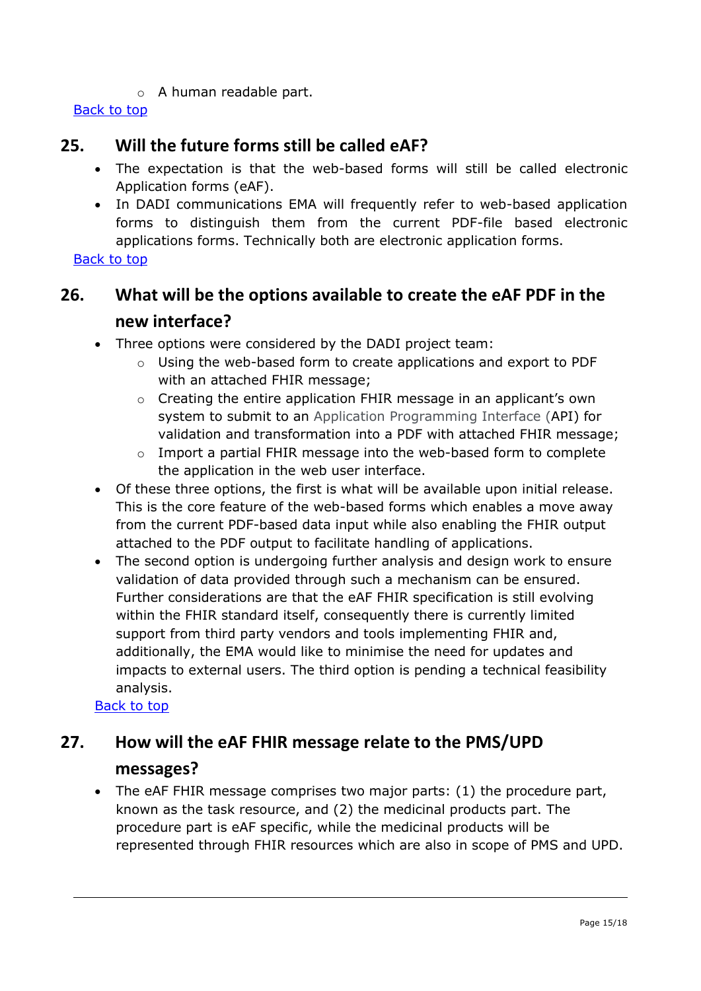o A human readable part.

#### <span id="page-14-0"></span>[Back to top](#page-0-0)

#### **25. Will the future forms still be called eAF?**

- The expectation is that the web-based forms will still be called electronic Application forms (eAF).
- In DADI communications EMA will frequently refer to web-based application forms to distinguish them from the current PDF-file based electronic applications forms. Technically both are electronic application forms.

#### <span id="page-14-1"></span>[Back to top](#page-0-0)

## **26. What will be the options available to create the eAF PDF in the new interface?**

- Three options were considered by the DADI project team:
	- o Using the web-based form to create applications and export to PDF with an attached FHIR message;
	- o Creating the entire application FHIR message in an applicant's own system to submit to an Application Programming Interface (API) for validation and transformation into a PDF with attached FHIR message;
	- o Import a partial FHIR message into the web-based form to complete the application in the web user interface.
- Of these three options, the first is what will be available upon initial release. This is the core feature of the web-based forms which enables a move away from the current PDF-based data input while also enabling the FHIR output attached to the PDF output to facilitate handling of applications.
- The second option is undergoing further analysis and design work to ensure validation of data provided through such a mechanism can be ensured. Further considerations are that the eAF FHIR specification is still evolving within the FHIR standard itself, consequently there is currently limited support from third party vendors and tools implementing FHIR and, additionally, the EMA would like to minimise the need for updates and impacts to external users. The third option is pending a technical feasibility analysis.

[Back to top](#page-0-0)

# <span id="page-14-2"></span>**27. How will the eAF FHIR message relate to the PMS/UPD messages?**

• The eAF FHIR message comprises two major parts: (1) the procedure part, known as the task resource, and (2) the medicinal products part. The procedure part is eAF specific, while the medicinal products will be represented through FHIR resources which are also in scope of PMS and UPD.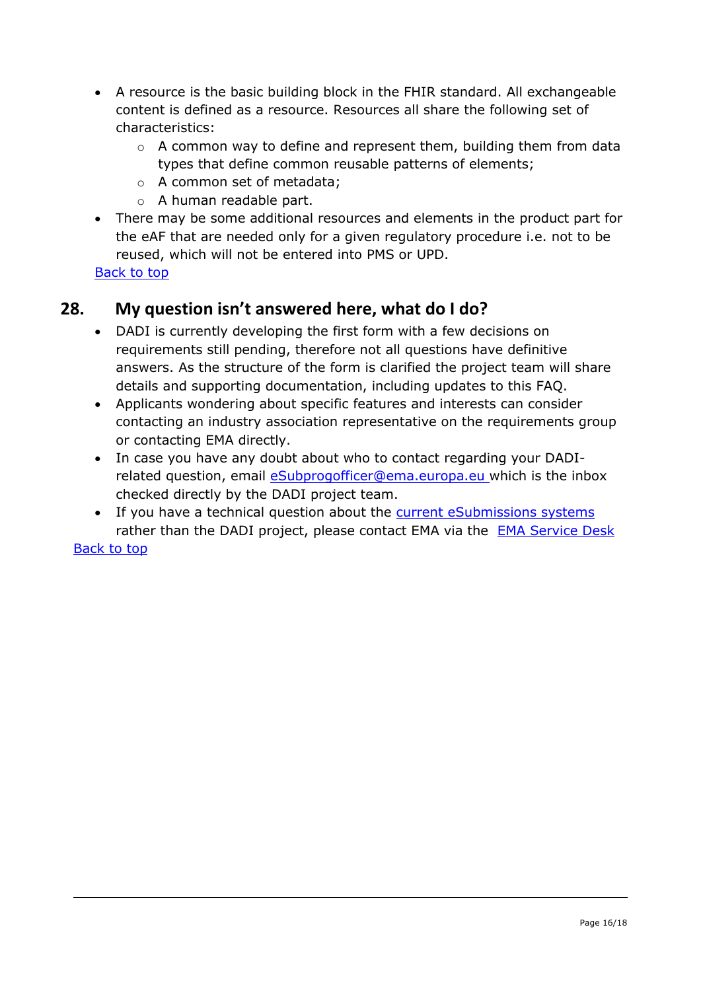- A resource is the basic building block in the FHIR standard. All exchangeable content is defined as a resource. Resources all share the following set of characteristics:
	- $\circ$  A common way to define and represent them, building them from data types that define common reusable patterns of elements;
	- o A common set of metadata;
	- o A human readable part.
- There may be some additional resources and elements in the product part for the eAF that are needed only for a given regulatory procedure i.e. not to be reused, which will not be entered into PMS or UPD.

## <span id="page-15-0"></span>**28. My question isn't answered here, what do I do?**

- DADI is currently developing the first form with a few decisions on requirements still pending, therefore not all questions have definitive answers. As the structure of the form is clarified the project team will share details and supporting documentation, including updates to this FAQ.
- Applicants wondering about specific features and interests can consider contacting an industry association representative on the requirements group or contacting EMA directly.
- In case you have any doubt about who to contact regarding your DADIrelated question, email *[eSubprogofficer@ema.europa.eu](mailto:eSubprogofficer@ema.europa.eu)* which is the inbox checked directly by the DADI project team.
- If you have a technical question about the [current eSubmissions systems](http://esubmission.ema.europa.eu/index.htm) rather than the DADI project, please contact EMA via the [EMA Service Desk](https://servicedesk.ema.europa.eu/)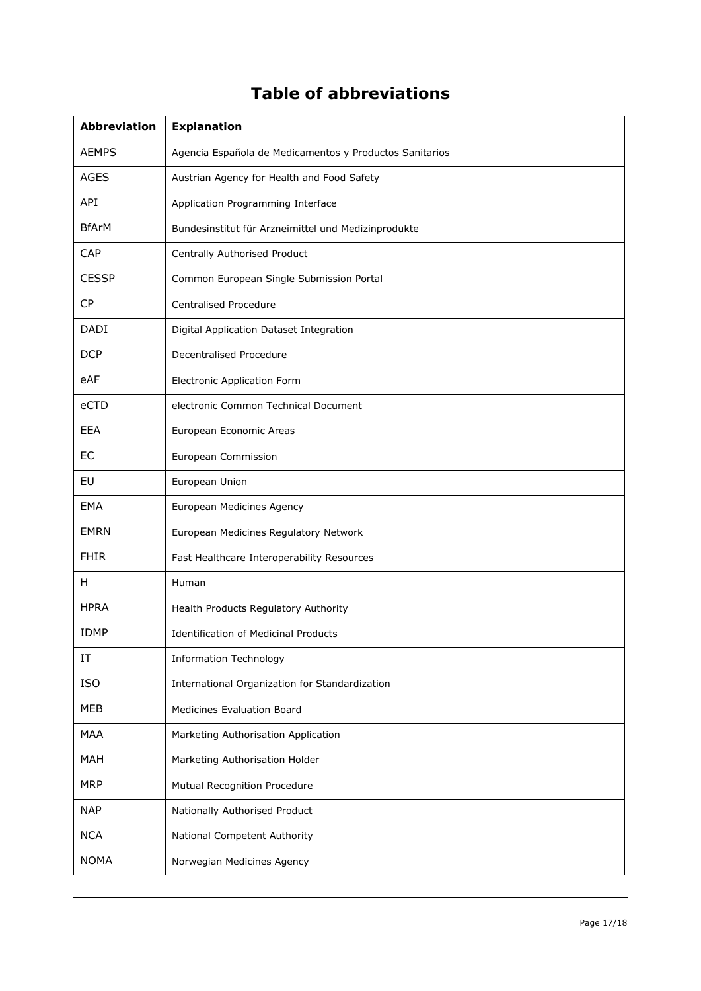# **Table of abbreviations**

<span id="page-16-0"></span>

| <b>Abbreviation</b> | <b>Explanation</b>                                      |
|---------------------|---------------------------------------------------------|
| <b>AEMPS</b>        | Agencia Española de Medicamentos y Productos Sanitarios |
| <b>AGES</b>         | Austrian Agency for Health and Food Safety              |
| API                 | Application Programming Interface                       |
| <b>BfArM</b>        | Bundesinstitut für Arzneimittel und Medizinprodukte     |
| CAP                 | Centrally Authorised Product                            |
| <b>CESSP</b>        | Common European Single Submission Portal                |
| <b>CP</b>           | <b>Centralised Procedure</b>                            |
| <b>DADI</b>         | Digital Application Dataset Integration                 |
| <b>DCP</b>          | Decentralised Procedure                                 |
| eAF                 | <b>Electronic Application Form</b>                      |
| eCTD                | electronic Common Technical Document                    |
| EEA                 | European Economic Areas                                 |
| EC                  | European Commission                                     |
| EU                  | European Union                                          |
| EMA                 | European Medicines Agency                               |
| <b>EMRN</b>         | European Medicines Regulatory Network                   |
| <b>FHIR</b>         | Fast Healthcare Interoperability Resources              |
| H                   | Human                                                   |
| <b>HPRA</b>         | Health Products Regulatory Authority                    |
| <b>IDMP</b>         | <b>Identification of Medicinal Products</b>             |
| IT                  | <b>Information Technology</b>                           |
| ISO                 | International Organization for Standardization          |
| MEB                 | <b>Medicines Evaluation Board</b>                       |
| <b>MAA</b>          | Marketing Authorisation Application                     |
| <b>MAH</b>          | Marketing Authorisation Holder                          |
| <b>MRP</b>          | Mutual Recognition Procedure                            |
| <b>NAP</b>          | Nationally Authorised Product                           |
| <b>NCA</b>          | National Competent Authority                            |
| <b>NOMA</b>         | Norwegian Medicines Agency                              |